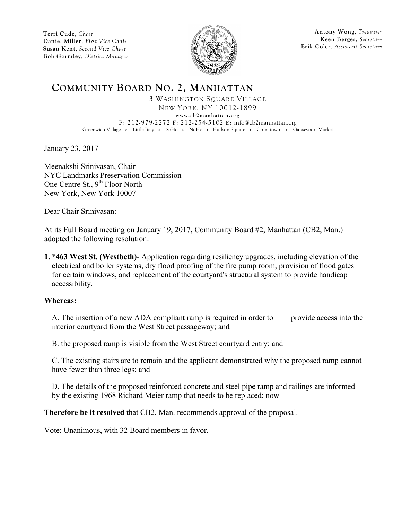

**Antony Wong**, *Treasurer* **Keen Berger**, *Secretary* **Erik Coler**, *Assistant Secretary*

### **COMMUNITY BOARD NO. 2, MANHATTAN**

3 WASHINGTON SQUARE VILLAGE NEW YORK, NY 10012-1899 **www.cb2manhattan.org P**: 212-979-2272 **F**: 212-254-5102 **E:** info@cb2manhattan.org Greenwich Village • Little Italy • SoHo • NoHo • Hudson Square • Chinatown • Gansevoort Market

January 23, 2017

Meenakshi Srinivasan, Chair NYC Landmarks Preservation Commission One Centre St.,  $9^{th}$  Floor North New York, New York 10007

Dear Chair Srinivasan:

At its Full Board meeting on January 19, 2017, Community Board #2, Manhattan (CB2, Man.) adopted the following resolution:

**1.** \***463 West St. (Westbeth)**- Application regarding resiliency upgrades, including elevation of the electrical and boiler systems, dry flood proofing of the fire pump room, provision of flood gates for certain windows, and replacement of the courtyard's structural system to provide handicap accessibility.

#### **Whereas:**

A. The insertion of a new ADA compliant ramp is required in order to provide access into the interior courtyard from the West Street passageway; and

B. the proposed ramp is visible from the West Street courtyard entry; and

C. The existing stairs are to remain and the applicant demonstrated why the proposed ramp cannot have fewer than three legs; and

D. The details of the proposed reinforced concrete and steel pipe ramp and railings are informed by the existing 1968 Richard Meier ramp that needs to be replaced; now

**Therefore be it resolved** that CB2, Man. recommends approval of the proposal.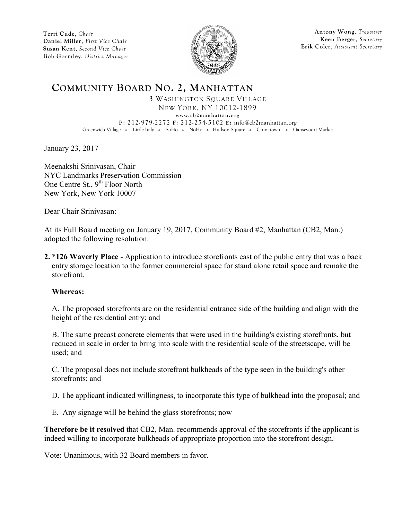

**Antony Wong**, *Treasurer* **Keen Berger**, *Secretary* **Erik Coler**, *Assistant Secretary*

## **COMMUNITY BOARD NO. 2, MANHATTAN**

3 WASHINGTON SQUARE VILLAGE NEW YORK, NY 10012-1899 **www.cb2manhattan.org P**: 212-979-2272 **F**: 212-254-5102 **E:** info@cb2manhattan.org Greenwich Village • Little Italy • SoHo • NoHo • Hudson Square • Chinatown • Gansevoort Market

January 23, 2017

Meenakshi Srinivasan, Chair NYC Landmarks Preservation Commission One Centre St.,  $9^{th}$  Floor North New York, New York 10007

Dear Chair Srinivasan:

At its Full Board meeting on January 19, 2017, Community Board #2, Manhattan (CB2, Man.) adopted the following resolution:

**2.** \***126 Waverly Place** - Application to introduce storefronts east of the public entry that was a back entry storage location to the former commercial space for stand alone retail space and remake the storefront.

#### **Whereas:**

A. The proposed storefronts are on the residential entrance side of the building and align with the height of the residential entry; and

B. The same precast concrete elements that were used in the building's existing storefronts, but reduced in scale in order to bring into scale with the residential scale of the streetscape, will be used; and

C. The proposal does not include storefront bulkheads of the type seen in the building's other storefronts; and

D. The applicant indicated willingness, to incorporate this type of bulkhead into the proposal; and

E. Any signage will be behind the glass storefronts; now

**Therefore be it resolved** that CB2, Man. recommends approval of the storefronts if the applicant is indeed willing to incorporate bulkheads of appropriate proportion into the storefront design.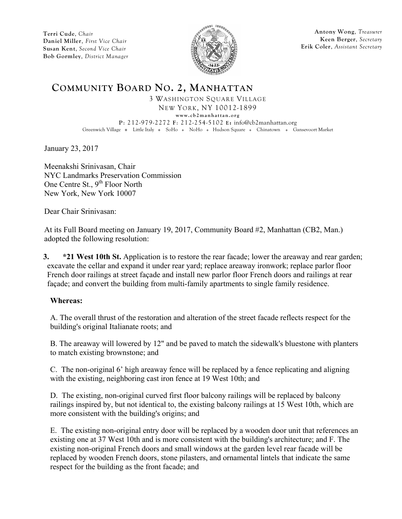

**Antony Wong**, *Treasurer* **Keen Berger**, *Secretary* **Erik Coler**, *Assistant Secretary*

## **COMMUNITY BOARD NO. 2, MANHATTAN**

3 WASHINGTON SQUARE VILLAGE NEW YORK, NY 10012-1899 **w ww.cb2manhattan.org P**: 212-979-2272 **F**: 212-254-5102 **E:** info@cb2manhattan.org Greenwich Village • Little Italy • SoHo • NoHo • Hudson Square • Chinatown • Gansevoort Market

January 23, 2017

Meenakshi Srinivasan, Chair NYC Landmarks Preservation Commission One Centre St.,  $9^{th}$  Floor North New York, New York 10007

Dear Chair Srinivasan:

At its Full Board meeting on January 19, 2017, Community Board #2, Manhattan (CB2, Man.) adopted the following resolution:

**3. \*21 West 10th St.** Application is to restore the rear facade; lower the areaway and rear garden; excavate the cellar and expand it under rear yard; replace areaway ironwork; replace parlor floor French door railings at street façade and install new parlor floor French doors and railings at rear façade; and convert the building from multi-family apartments to single family residence.

#### **Whereas:**

A. The overall thrust of the restoration and alteration of the street facade reflects respect for the building's original Italianate roots; and

B. The areaway will lowered by 12" and be paved to match the sidewalk's bluestone with planters to match existing brownstone; and

C. The non-original 6' high areaway fence will be replaced by a fence replicating and aligning with the existing, neighboring cast iron fence at 19 West 10th; and

D. The existing, non-original curved first floor balcony railings will be replaced by balcony railings inspired by, but not identical to, the existing balcony railings at 15 West 10th, which are more consistent with the building's origins; and

E. The existing non-original entry door will be replaced by a wooden door unit that references an existing one at 37 West 10th and is more consistent with the building's architecture; and F. The existing non-original French doors and small windows at the garden level rear facade will be replaced by wooden French doors, stone pilasters, and ornamental lintels that indicate the same respect for the building as the front facade; and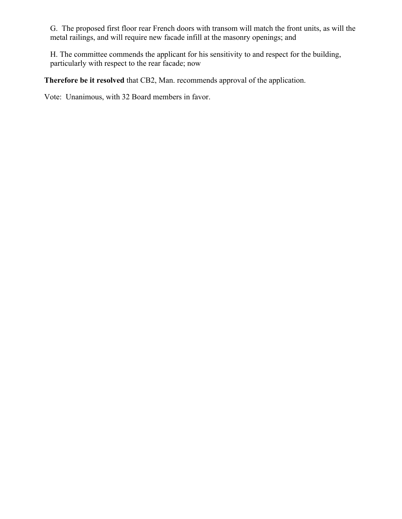G. The proposed first floor rear French doors with transom will match the front units, as will the metal railings, and will require new facade infill at the masonry openings; and

H. The committee commends the applicant for his sensitivity to and respect for the building, particularly with respect to the rear facade; now

**Therefore be it resolved** that CB2, Man. recommends approval of the application.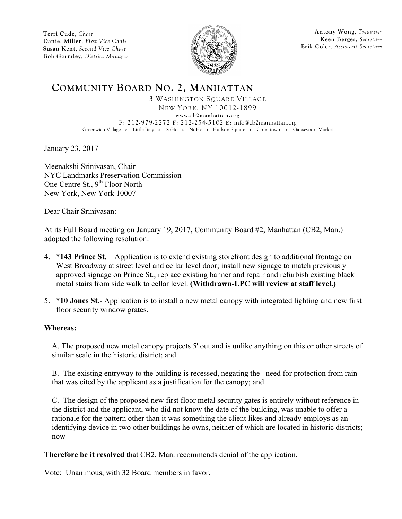

**Antony Wong**, *Treasurer* **Keen Berger**, *Secretary* **Erik Coler**, *Assistant Secretary*

## **COMMUNITY BOARD NO. 2, MANHATTAN**

3 WASHINGTON SQUARE VILLAGE NEW YORK, NY 10012-1899 **www.cb2manhattan.org P**: 212-979-2272 **F**: 212-254-5102 **E:** info@cb2manhattan.org Greenwich Village • Little Italy • SoHo • NoHo • Hudson Square • Chinatown • Gansevoort Market

January 23, 2017

Meenakshi Srinivasan, Chair NYC Landmarks Preservation Commission One Centre St.,  $9^{th}$  Floor North New York, New York 10007

Dear Chair Srinivasan:

At its Full Board meeting on January 19, 2017, Community Board #2, Manhattan (CB2, Man.) adopted the following resolution:

- 4. \***143 Prince St.** Application is to extend existing storefront design to additional frontage on West Broadway at street level and cellar level door; install new signage to match previously approved signage on Prince St.; replace existing banner and repair and refurbish existing black metal stairs from side walk to cellar level. **(Withdrawn-LPC will review at staff level.)**
- 5. \***10 Jones St.** Application is to install a new metal canopy with integrated lighting and new first floor security window grates.

#### **Whereas:**

A. The proposed new metal canopy projects 5' out and is unlike anything on this or other streets of similar scale in the historic district; and

B. The existing entryway to the building is recessed, negating the need for protection from rain that was cited by the applicant as a justification for the canopy; and

C. The design of the proposed new first floor metal security gates is entirely without reference in the district and the applicant, who did not know the date of the building, was unable to offer a rationale for the pattern other than it was something the client likes and already employs as an identifying device in two other buildings he owns, neither of which are located in historic districts; now

**Therefore be it resolved** that CB2, Man. recommends denial of the application.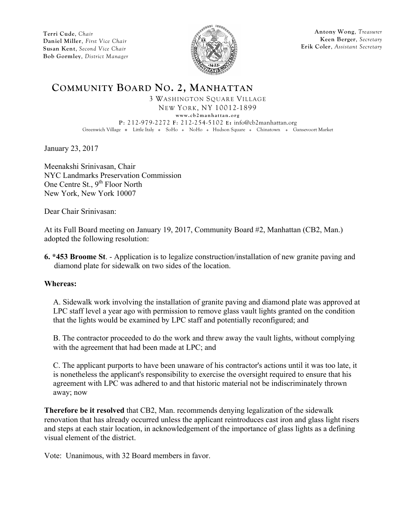

**Antony Wong**, *Treasurer* **Keen Berger**, *Secretary* **Erik Coler**, *Assistant Secretary*

### **COMMUNITY BOARD NO. 2, MANHATTAN**

3 WASHINGTON SQUARE VILLAGE NEW YORK, NY 10012-1899 **www.cb2manhattan.org P**: 212-979-2272 **F**: 212-254-5102 **E:** info@cb2manhattan.org Greenwich Village • Little Italy • SoHo • NoHo • Hudson Square • Chinatown • Gansevoort Market

January 23, 2017

Meenakshi Srinivasan, Chair NYC Landmarks Preservation Commission One Centre St.,  $9^{th}$  Floor North New York, New York 10007

Dear Chair Srinivasan:

At its Full Board meeting on January 19, 2017, Community Board #2, Manhattan (CB2, Man.) adopted the following resolution:

**6. \*453 Broome St**. - Application is to legalize construction/installation of new granite paving and diamond plate for sidewalk on two sides of the location.

#### **Whereas:**

A. Sidewalk work involving the installation of granite paving and diamond plate was approved at LPC staff level a year ago with permission to remove glass vault lights granted on the condition that the lights would be examined by LPC staff and potentially reconfigured; and

B. The contractor proceeded to do the work and threw away the vault lights, without complying with the agreement that had been made at LPC; and

C. The applicant purports to have been unaware of his contractor's actions until it was too late, it is nonetheless the applicant's responsibility to exercise the oversight required to ensure that his agreement with LPC was adhered to and that historic material not be indiscriminately thrown away; now

**Therefore be it resolved** that CB2, Man. recommends denying legalization of the sidewalk renovation that has already occurred unless the applicant reintroduces cast iron and glass light risers and steps at each stair location, in acknowledgement of the importance of glass lights as a defining visual element of the district.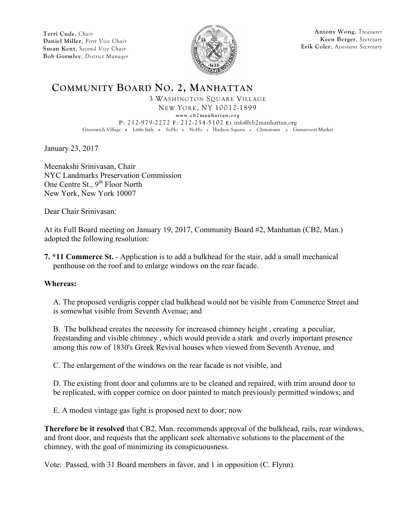

**Antony Wong**, *Treasurer* **Keen Berger**, *Secretary* **Erik Coler**, *Assistant Secretary*

### **COMMUNITY BOARD NO. 2, MANHATTAN**

3 WASHINGTON SQUARE VILLAGE NEW YORK, NY 10012-1899 **www.cb2manhattan.org P**: 212-979-2272 **F**: 212-254-5102 **E:** info@cb2manhattan.org Greenwich Village • Little Italy • SoHo • NoHo • Hudson Square • Chinatown • Gansevoort Market

January 23, 2017

Meenakshi Srinivasan, Chair NYC Landmarks Preservation Commission One Centre St.,  $9^{th}$  Floor North New York, New York 10007

Dear Chair Srinivasan:

At its Full Board meeting on January 19, 2017, Community Board #2, Manhattan (CB2, Man.) adopted the following resolution:

**7. \*11 Commerce St.** - Application is to add a bulkhead for the stair, add a small mechanical penthouse on the roof and to enlarge windows on the rear facade.

#### **Whereas:**

A. The proposed verdigris copper clad bulkhead would not be visible from Commerce Street and is somewhat visible from Seventh Avenue; and

B. The bulkhead creates the necessity for increased chimney height , creating a peculiar, freestanding and visible chimney , which would provide a stark and overly important presence among this row of 1830's Greek Revival houses when viewed from Seventh Avenue, and

C. The enlargement of the windows on the rear facade is not visible, and

D. The existing front door and columns are to be cleaned and repaired, with trim around door to be replicated, with copper cornice on door painted to match previously permitted windows; and

E. A modest vintage gas light is proposed next to door; now

**Therefore be it resolved** that CB2, Man. recommends approval of the bulkhead, rails, rear windows, and front door, and requests that the applicant seek alternative solutions to the placement of the chimney, with the goal of minimizing its conspicuousness.

Vote: Passed, with 31 Board members in favor, and 1 in opposition (C. Flynn).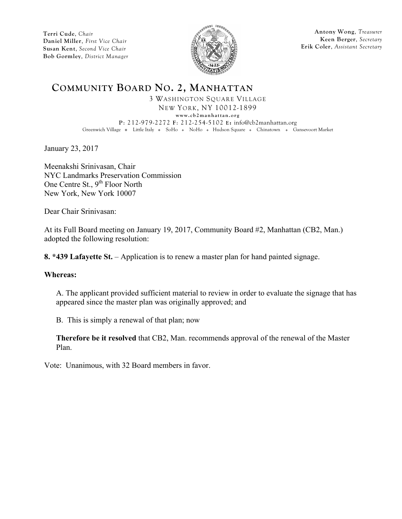

**Antony Wong**, *Treasurer* **Keen Berger**, *Secretary* **Erik Coler**, *Assistant Secretary*

# **COMMUNITY BOARD NO. 2, MANHATTAN**

3 WASHINGTON SQUARE VILLAGE NEW YORK, NY 10012-1899 **www.cb2manhattan.org P**: 212-979-2272 **F**: 212-254-5102 **E:** info@cb2manhattan.org Greenwich Village v Little Italy v SoHo v NoHo v Hudson Square v Chinatown v Gansevoort Market

January 23, 2017

Meenakshi Srinivasan, Chair NYC Landmarks Preservation Commission One Centre St., 9<sup>th</sup> Floor North New York, New York 10007

Dear Chair Srinivasan:

At its Full Board meeting on January 19, 2017, Community Board #2, Manhattan (CB2, Man.) adopted the following resolution:

**8. \*439 Lafayette St.** – Application is to renew a master plan for hand painted signage.

#### **Whereas:**

A. The applicant provided sufficient material to review in order to evaluate the signage that has appeared since the master plan was originally approved; and

B. This is simply a renewal of that plan; now

**Therefore be it resolved** that CB2, Man. recommends approval of the renewal of the Master Plan.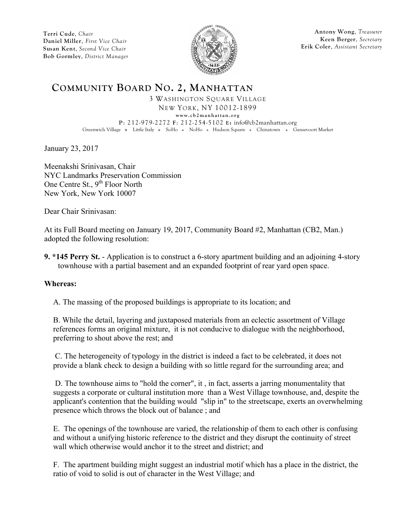

**Antony Wong**, *Treasurer* **Keen Berger**, *Secretary* **Erik Coler**, *Assistant Secretary*

### **COMMUNITY BOARD NO. 2, MANHATTAN**

3 WASHINGTON SQUARE VILLAGE NEW YORK, NY 10012-1899 **www.cb2manhattan.org P**: 212-979-2272 **F**: 212-254-5102 **E:** info@cb2manhattan.org Greenwich Village • Little Italy • SoHo • NoHo • Hudson Square • Chinatown • Gansevoort Market

January 23, 2017

Meenakshi Srinivasan, Chair NYC Landmarks Preservation Commission One Centre St.,  $9^{th}$  Floor North New York, New York 10007

Dear Chair Srinivasan:

At its Full Board meeting on January 19, 2017, Community Board #2, Manhattan (CB2, Man.) adopted the following resolution:

**9. \*145 Perry St.** - Application is to construct a 6-story apartment building and an adjoining 4-story townhouse with a partial basement and an expanded footprint of rear yard open space.

#### **Whereas:**

A. The massing of the proposed buildings is appropriate to its location; and

B. While the detail, layering and juxtaposed materials from an eclectic assortment of Village references forms an original mixture, it is not conducive to dialogue with the neighborhood, preferring to shout above the rest; and

C. The heterogeneity of typology in the district is indeed a fact to be celebrated, it does not provide a blank check to design a building with so little regard for the surrounding area; and

D. The townhouse aims to "hold the corner", it , in fact, asserts a jarring monumentality that suggests a corporate or cultural institution more than a West Village townhouse, and, despite the applicant's contention that the building would "slip in" to the streetscape, exerts an overwhelming presence which throws the block out of balance ; and

E. The openings of the townhouse are varied, the relationship of them to each other is confusing and without a unifying historic reference to the district and they disrupt the continuity of street wall which otherwise would anchor it to the street and district; and

F. The apartment building might suggest an industrial motif which has a place in the district, the ratio of void to solid is out of character in the West Village; and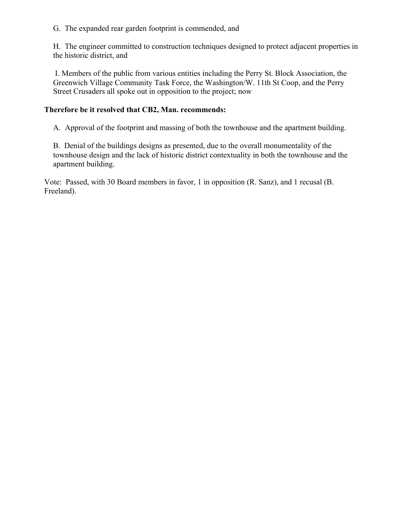G. The expanded rear garden footprint is commended, and

H. The engineer committed to construction techniques designed to protect adjacent properties in the historic district, and

I. Members of the public from various entities including the Perry St. Block Association, the Greenwich Village Community Task Force, the Washington/W. 11th St Coop, and the Perry Street Crusaders all spoke out in opposition to the project; now

### **Therefore be it resolved that CB2, Man. recommends:**

A. Approval of the footprint and massing of both the townhouse and the apartment building.

B. Denial of the buildings designs as presented, due to the overall monumentality of the townhouse design and the lack of historic district contextuality in both the townhouse and the apartment building.

Vote: Passed, with 30 Board members in favor, 1 in opposition (R. Sanz), and 1 recusal (B. Freeland).